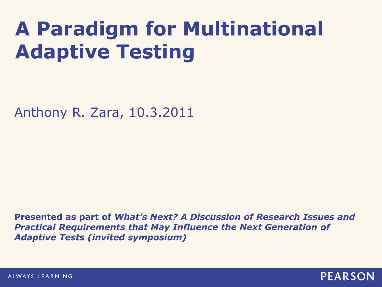# **A Paradigm for Multinational Adaptive Testing**

Anthony R. Zara, 10.3.2011

**Presented as part of** *What's Next? A Discussion of Research Issues and Practical Requirements that May Influence the Next Generation of Adaptive Tests (invited symposium)*

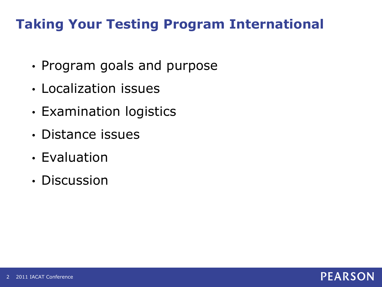# **Taking Your Testing Program International**

- Program goals and purpose
- Localization issues
- Examination logistics
- Distance issues
- Evaluation
- Discussion

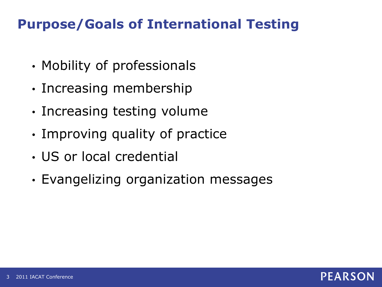## **Purpose/Goals of International Testing**

- Mobility of professionals
- Increasing membership
- Increasing testing volume
- Improving quality of practice
- US or local credential
- Evangelizing organization messages

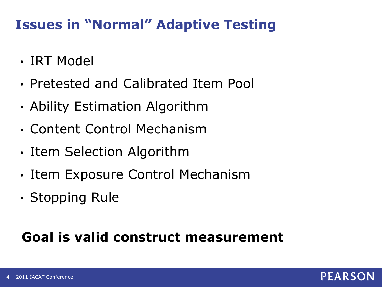### **Issues in "Normal" Adaptive Testing**

- IRT Model
- Pretested and Calibrated Item Pool
- Ability Estimation Algorithm
- Content Control Mechanism
- Item Selection Algorithm
- Item Exposure Control Mechanism
- Stopping Rule

### **Goal is valid construct measurement**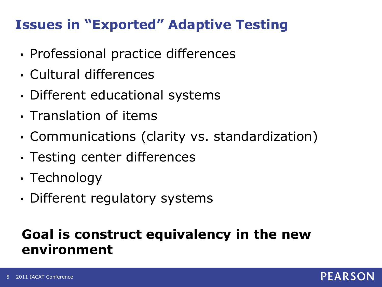### **Issues in "Exported" Adaptive Testing**

- Professional practice differences
- Cultural differences
- Different educational systems
- Translation of items
- Communications (clarity vs. standardization)
- Testing center differences
- Technology
- Different regulatory systems

# **Goal is construct equivalency in the new environment**

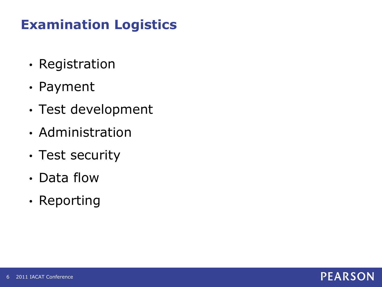# **Examination Logistics**

- Registration
- Payment
- Test development
- Administration
- Test security
- Data flow
- Reporting

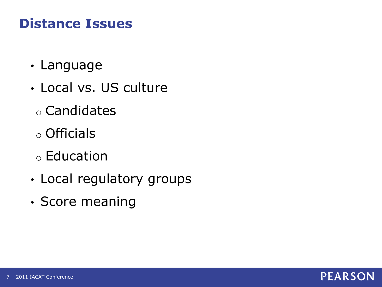# **Distance Issues**

- Language
- Local vs. US culture
	- o Candidates
	- o Officials
	- o Education
- Local regulatory groups
- Score meaning

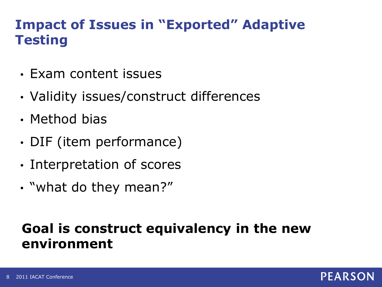# **Impact of Issues in "Exported" Adaptive Testing**

- Exam content issues
- Validity issues/construct differences
- Method bias
- DIF (item performance)
- Interpretation of scores
- "what do they mean?"

#### **Goal is construct equivalency in the new environment**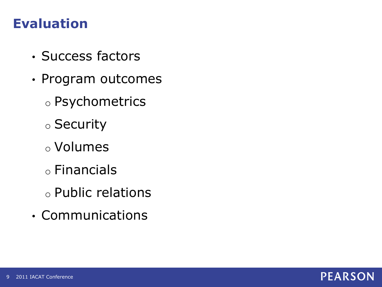#### **Evaluation**

- Success factors
- Program outcomes
	- o Psychometrics
	- o Security
	- o Volumes
	- o Financials
	- o Public relations
- Communications

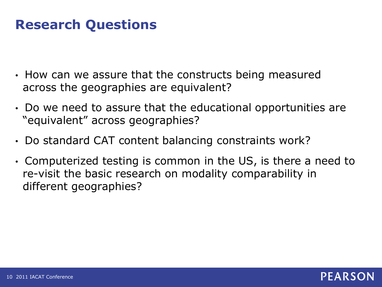# **Research Questions**

- How can we assure that the constructs being measured across the geographies are equivalent?
- Do we need to assure that the educational opportunities are "equivalent" across geographies?
- Do standard CAT content balancing constraints work?
- Computerized testing is common in the US, is there a need to re-visit the basic research on modality comparability in different geographies?